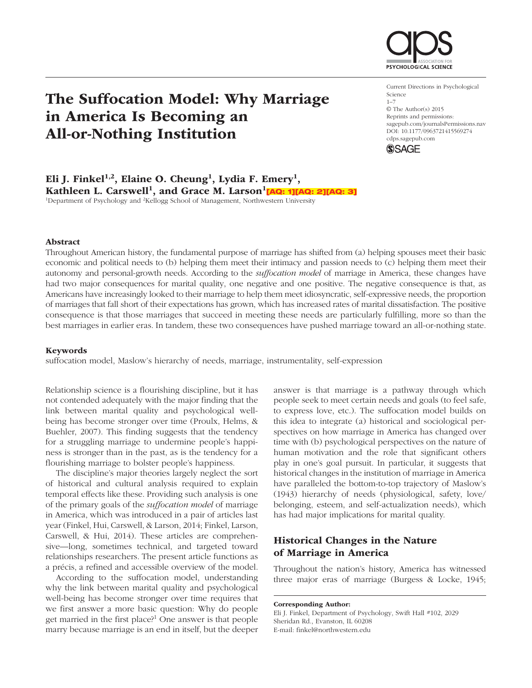

# The Suffocation Model: Why Marriage in America Is Becoming an All-or-Nothing Institution

Current Directions in Psychological Science  $1 - 7$ © The Author(s) 2015 Reprints and permissions: sagepub.com/journalsPermissions.nav DOI: 10.1177/0963721415569274 cdps.sagepub.com



Eli J. Finkel<sup>1,2</sup>, Elaine O. Cheung<sup>1</sup>, Lydia F. Emery<sup>1</sup>, Kathleen L. Carswell<sup>1</sup>, and Grace M. Larson<sup>1</sup><sub>[AQ: 1][AQ: 2][AQ: 3]</sub> <sup>1</sup>Department of Psychology and <sup>2</sup>Kellogg School of Management, Northwestern University

#### Abstract

Throughout American history, the fundamental purpose of marriage has shifted from (a) helping spouses meet their basic economic and political needs to (b) helping them meet their intimacy and passion needs to (c) helping them meet their autonomy and personal-growth needs. According to the *suffocation model* of marriage in America, these changes have had two major consequences for marital quality, one negative and one positive. The negative consequence is that, as Americans have increasingly looked to their marriage to help them meet idiosyncratic, self-expressive needs, the proportion of marriages that fall short of their expectations has grown, which has increased rates of marital dissatisfaction. The positive consequence is that those marriages that succeed in meeting these needs are particularly fulfilling, more so than the best marriages in earlier eras. In tandem, these two consequences have pushed marriage toward an all-or-nothing state.

#### Keywords

suffocation model, Maslow's hierarchy of needs, marriage, instrumentality, self-expression

Relationship science is a flourishing discipline, but it has not contended adequately with the major finding that the link between marital quality and psychological wellbeing has become stronger over time (Proulx, Helms, & Buehler, 2007). This finding suggests that the tendency for a struggling marriage to undermine people's happiness is stronger than in the past, as is the tendency for a flourishing marriage to bolster people's happiness.

The discipline's major theories largely neglect the sort of historical and cultural analysis required to explain temporal effects like these. Providing such analysis is one of the primary goals of the *suffocation model* of marriage in America, which was introduced in a pair of articles last year (Finkel, Hui, Carswell, & Larson, 2014; Finkel, Larson, Carswell, & Hui, 2014). These articles are comprehensive—long, sometimes technical, and targeted toward relationships researchers. The present article functions as a précis, a refined and accessible overview of the model.

According to the suffocation model, understanding why the link between marital quality and psychological well-being has become stronger over time requires that we first answer a more basic question: Why do people get married in the first place?<sup>1</sup> One answer is that people marry because marriage is an end in itself, but the deeper

answer is that marriage is a pathway through which people seek to meet certain needs and goals (to feel safe, to express love, etc.). The suffocation model builds on this idea to integrate (a) historical and sociological perspectives on how marriage in America has changed over time with (b) psychological perspectives on the nature of human motivation and the role that significant others play in one's goal pursuit. In particular, it suggests that historical changes in the institution of marriage in America have paralleled the bottom-to-top trajectory of Maslow's (1943) hierarchy of needs (physiological, safety, love/ belonging, esteem, and self-actualization needs), which has had major implications for marital quality.

## Historical Changes in the Nature of Marriage in America

Throughout the nation's history, America has witnessed three major eras of marriage (Burgess & Locke, 1945;

Corresponding Author: Eli J. Finkel, Department of Psychology, Swift Hall #102, 2029 Sheridan Rd., Evanston, IL 60208

E-mail: finkel@northwestern.edu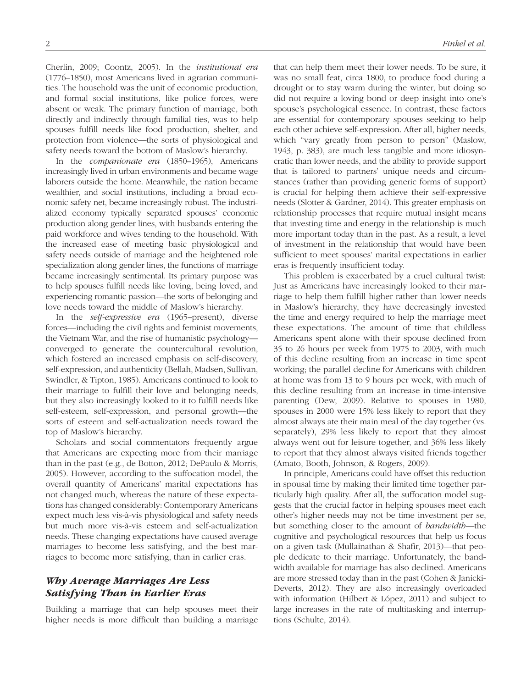Cherlin, 2009; Coontz, 2005). In the institutional era (1776–1850), most Americans lived in agrarian communities. The household was the unit of economic production, and formal social institutions, like police forces, were absent or weak. The primary function of marriage, both directly and indirectly through familial ties, was to help spouses fulfill needs like food production, shelter, and protection from violence—the sorts of physiological and safety needs toward the bottom of Maslow's hierarchy.

In the companionate era (1850–1965), Americans increasingly lived in urban environments and became wage laborers outside the home. Meanwhile, the nation became wealthier, and social institutions, including a broad economic safety net, became increasingly robust. The industrialized economy typically separated spouses' economic production along gender lines, with husbands entering the paid workforce and wives tending to the household. With the increased ease of meeting basic physiological and safety needs outside of marriage and the heightened role specialization along gender lines, the functions of marriage became increasingly sentimental. Its primary purpose was to help spouses fulfill needs like loving, being loved, and experiencing romantic passion—the sorts of belonging and love needs toward the middle of Maslow's hierarchy.

In the self-expressive era (1965–present), diverse forces—including the civil rights and feminist movements, the Vietnam War, and the rise of humanistic psychology converged to generate the countercultural revolution, which fostered an increased emphasis on self-discovery, self-expression, and authenticity (Bellah, Madsen, Sullivan, Swindler, & Tipton, 1985). Americans continued to look to their marriage to fulfill their love and belonging needs, but they also increasingly looked to it to fulfill needs like self-esteem, self-expression, and personal growth—the sorts of esteem and self-actualization needs toward the top of Maslow's hierarchy.

Scholars and social commentators frequently argue that Americans are expecting more from their marriage than in the past (e.g., de Botton, 2012; DePaulo & Morris, 2005). However, according to the suffocation model, the overall quantity of Americans' marital expectations has not changed much, whereas the nature of these expectations has changed considerably: Contemporary Americans expect much less vis-à-vis physiological and safety needs but much more vis-à-vis esteem and self-actualization needs. These changing expectations have caused average marriages to become less satisfying, and the best marriages to become more satisfying, than in earlier eras.

## Why Average Marriages Are Less Satisfying Than in Earlier Eras

Building a marriage that can help spouses meet their higher needs is more difficult than building a marriage

that can help them meet their lower needs. To be sure, it was no small feat, circa 1800, to produce food during a drought or to stay warm during the winter, but doing so did not require a loving bond or deep insight into one's spouse's psychological essence. In contrast, these factors are essential for contemporary spouses seeking to help each other achieve self-expression. After all, higher needs, which "vary greatly from person to person" (Maslow, 1943, p. 383), are much less tangible and more idiosyncratic than lower needs, and the ability to provide support that is tailored to partners' unique needs and circumstances (rather than providing generic forms of support) is crucial for helping them achieve their self-expressive needs (Slotter & Gardner, 2014). This greater emphasis on relationship processes that require mutual insight means that investing time and energy in the relationship is much more important today than in the past. As a result, a level of investment in the relationship that would have been sufficient to meet spouses' marital expectations in earlier eras is frequently insufficient today.

This problem is exacerbated by a cruel cultural twist: Just as Americans have increasingly looked to their marriage to help them fulfill higher rather than lower needs in Maslow's hierarchy, they have decreasingly invested the time and energy required to help the marriage meet these expectations. The amount of time that childless Americans spent alone with their spouse declined from 35 to 26 hours per week from 1975 to 2003, with much of this decline resulting from an increase in time spent working; the parallel decline for Americans with children at home was from 13 to 9 hours per week, with much of this decline resulting from an increase in time-intensive parenting (Dew, 2009). Relative to spouses in 1980, spouses in 2000 were 15% less likely to report that they almost always ate their main meal of the day together (vs. separately), 29% less likely to report that they almost always went out for leisure together, and 36% less likely to report that they almost always visited friends together (Amato, Booth, Johnson, & Rogers, 2009).

In principle, Americans could have offset this reduction in spousal time by making their limited time together particularly high quality. After all, the suffocation model suggests that the crucial factor in helping spouses meet each other's higher needs may not be time investment per se, but something closer to the amount of bandwidth—the cognitive and psychological resources that help us focus on a given task (Mullainathan & Shafir, 2013)—that people dedicate to their marriage. Unfortunately, the bandwidth available for marriage has also declined. Americans are more stressed today than in the past (Cohen & Janicki-Deverts, 2012). They are also increasingly overloaded with information (Hilbert & López, 2011) and subject to large increases in the rate of multitasking and interruptions (Schulte, 2014).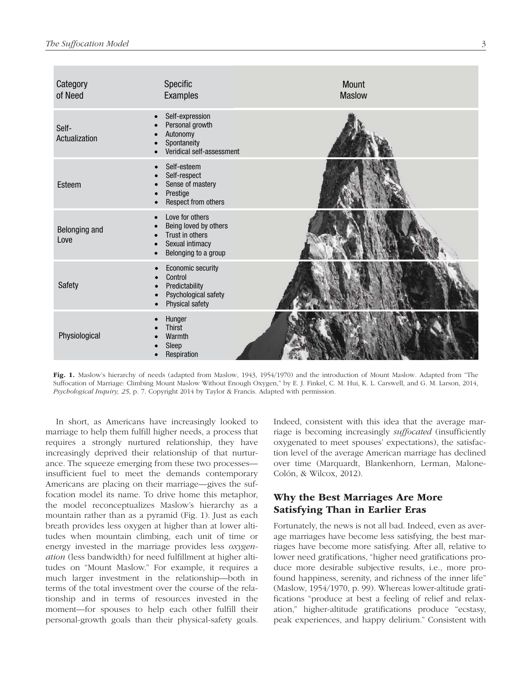| Category<br>of Need    | Specific<br><b>Examples</b>                                                                            | Mount<br><b>Maslow</b> |
|------------------------|--------------------------------------------------------------------------------------------------------|------------------------|
| Self-<br>Actualization | Self-expression<br>Personal growth<br>Autonomy<br>Spontaneity<br>Veridical self-assessment             |                        |
| Esteem                 | Self-esteem<br>Self-respect<br>Sense of mastery<br>Prestige<br>Respect from others                     |                        |
| Belonging and<br>Love  | Love for others<br>Being loved by others<br>Trust in others<br>Sexual intimacy<br>Belonging to a group |                        |
| Safety                 | Economic security<br>Control<br>Predictability<br>Psychological safety<br>Physical safety              |                        |
| Physiological          | Hunger<br><b>Thirst</b><br>Warmth<br>Sleep<br>Respiration                                              |                        |

Fig. 1. Maslow's hierarchy of needs (adapted from Maslow, 1943, 1954/1970) and the introduction of Mount Maslow. Adapted from "The Suffocation of Marriage: Climbing Mount Maslow Without Enough Oxygen," by E. J. Finkel, C. M. Hui, K. L. Carswell, and G. M. Larson, 2014, Psychological Inquiry, 25, p. 7. Copyright 2014 by Taylor & Francis. Adapted with permission.

In short, as Americans have increasingly looked to marriage to help them fulfill higher needs, a process that requires a strongly nurtured relationship, they have increasingly deprived their relationship of that nurturance. The squeeze emerging from these two processes insufficient fuel to meet the demands contemporary Americans are placing on their marriage—gives the suffocation model its name. To drive home this metaphor, the model reconceptualizes Maslow's hierarchy as a mountain rather than as a pyramid (Fig. 1). Just as each breath provides less oxygen at higher than at lower altitudes when mountain climbing, each unit of time or energy invested in the marriage provides less oxygenation (less bandwidth) for need fulfillment at higher altitudes on "Mount Maslow." For example, it requires a much larger investment in the relationship—both in terms of the total investment over the course of the relationship and in terms of resources invested in the moment—for spouses to help each other fulfill their personal-growth goals than their physical-safety goals. Indeed, consistent with this idea that the average marriage is becoming increasingly suffocated (insufficiently oxygenated to meet spouses' expectations), the satisfaction level of the average American marriage has declined over time (Marquardt, Blankenhorn, Lerman, Malone-Colón, & Wilcox, 2012).

### Why the Best Marriages Are More Satisfying Than in Earlier Eras

Fortunately, the news is not all bad. Indeed, even as average marriages have become less satisfying, the best marriages have become more satisfying. After all, relative to lower need gratifications, "higher need gratifications produce more desirable subjective results, i.e., more profound happiness, serenity, and richness of the inner life" (Maslow, 1954/1970, p. 99). Whereas lower-altitude gratifications "produce at best a feeling of relief and relaxation," higher-altitude gratifications produce "ecstasy, peak experiences, and happy delirium." Consistent with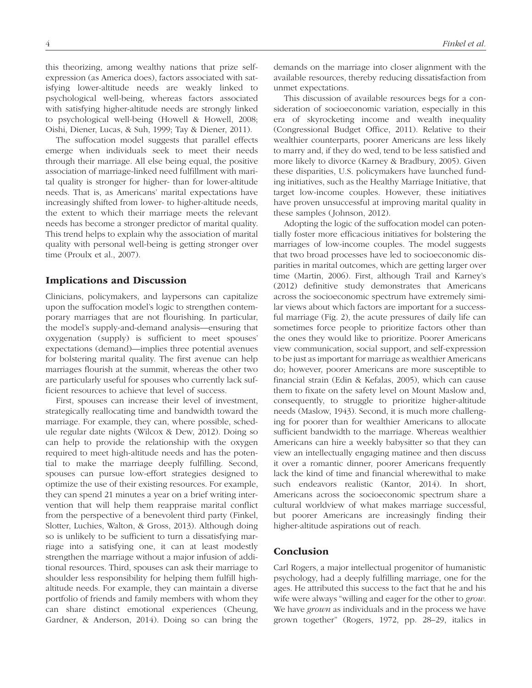this theorizing, among wealthy nations that prize selfexpression (as America does), factors associated with satisfying lower-altitude needs are weakly linked to psychological well-being, whereas factors associated with satisfying higher-altitude needs are strongly linked to psychological well-being (Howell & Howell, 2008; Oishi, Diener, Lucas, & Suh, 1999; Tay & Diener, 2011).

The suffocation model suggests that parallel effects emerge when individuals seek to meet their needs through their marriage. All else being equal, the positive association of marriage-linked need fulfillment with marital quality is stronger for higher- than for lower-altitude needs. That is, as Americans' marital expectations have increasingly shifted from lower- to higher-altitude needs, the extent to which their marriage meets the relevant needs has become a stronger predictor of marital quality. This trend helps to explain why the association of marital quality with personal well-being is getting stronger over time (Proulx et al., 2007).

#### Implications and Discussion

Clinicians, policymakers, and laypersons can capitalize upon the suffocation model's logic to strengthen contemporary marriages that are not flourishing. In particular, the model's supply-and-demand analysis—ensuring that oxygenation (supply) is sufficient to meet spouses' expectations (demand)—implies three potential avenues for bolstering marital quality. The first avenue can help marriages flourish at the summit, whereas the other two are particularly useful for spouses who currently lack sufficient resources to achieve that level of success.

First, spouses can increase their level of investment, strategically reallocating time and bandwidth toward the marriage. For example, they can, where possible, schedule regular date nights (Wilcox & Dew, 2012). Doing so can help to provide the relationship with the oxygen required to meet high-altitude needs and has the potential to make the marriage deeply fulfilling. Second, spouses can pursue low-effort strategies designed to optimize the use of their existing resources. For example, they can spend 21 minutes a year on a brief writing intervention that will help them reappraise marital conflict from the perspective of a benevolent third party (Finkel, Slotter, Luchies, Walton, & Gross, 2013). Although doing so is unlikely to be sufficient to turn a dissatisfying marriage into a satisfying one, it can at least modestly strengthen the marriage without a major infusion of additional resources. Third, spouses can ask their marriage to shoulder less responsibility for helping them fulfill highaltitude needs. For example, they can maintain a diverse portfolio of friends and family members with whom they can share distinct emotional experiences (Cheung, Gardner, & Anderson, 2014). Doing so can bring the

demands on the marriage into closer alignment with the available resources, thereby reducing dissatisfaction from unmet expectations.

This discussion of available resources begs for a consideration of socioeconomic variation, especially in this era of skyrocketing income and wealth inequality (Congressional Budget Office, 2011). Relative to their wealthier counterparts, poorer Americans are less likely to marry and, if they do wed, tend to be less satisfied and more likely to divorce (Karney & Bradbury, 2005). Given these disparities, U.S. policymakers have launched funding initiatives, such as the Healthy Marriage Initiative, that target low-income couples. However, these initiatives have proven unsuccessful at improving marital quality in these samples (Johnson, 2012).

Adopting the logic of the suffocation model can potentially foster more efficacious initiatives for bolstering the marriages of low-income couples. The model suggests that two broad processes have led to socioeconomic disparities in marital outcomes, which are getting larger over time (Martin, 2006). First, although Trail and Karney's (2012) definitive study demonstrates that Americans across the socioeconomic spectrum have extremely similar views about which factors are important for a successful marriage (Fig. 2), the acute pressures of daily life can sometimes force people to prioritize factors other than the ones they would like to prioritize. Poorer Americans view communication, social support, and self-expression to be just as important for marriage as wealthier Americans do; however, poorer Americans are more susceptible to financial strain (Edin & Kefalas, 2005), which can cause them to fixate on the safety level on Mount Maslow and, consequently, to struggle to prioritize higher-altitude needs (Maslow, 1943). Second, it is much more challenging for poorer than for wealthier Americans to allocate sufficient bandwidth to the marriage. Whereas wealthier Americans can hire a weekly babysitter so that they can view an intellectually engaging matinee and then discuss it over a romantic dinner, poorer Americans frequently lack the kind of time and financial wherewithal to make such endeavors realistic (Kantor, 2014). In short, Americans across the socioeconomic spectrum share a cultural worldview of what makes marriage successful, but poorer Americans are increasingly finding their higher-altitude aspirations out of reach.

#### Conclusion

Carl Rogers, a major intellectual progenitor of humanistic psychology, had a deeply fulfilling marriage, one for the ages. He attributed this success to the fact that he and his wife were always "willing and eager for the other to *grow*. We have *grown* as individuals and in the process we have grown together" (Rogers, 1972, pp. 28–29, italics in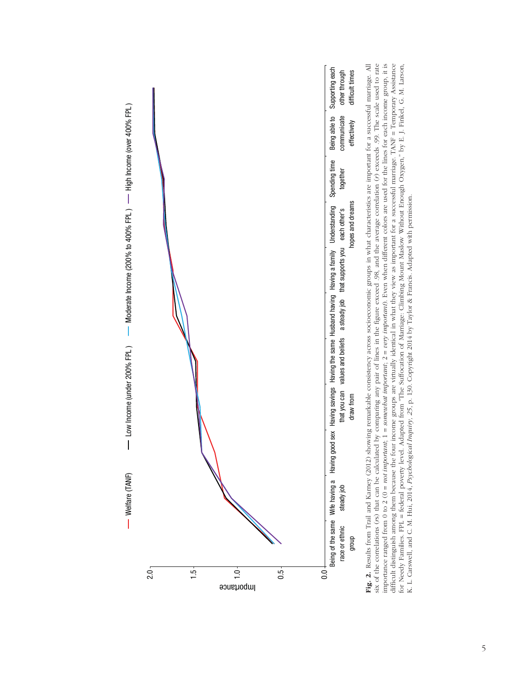

importance ranged from 0 to 2 (0 = *not important*; 1 = somewhat *important*; 2 = very *important*). Even when different colors are used for the lines for each income group, it is dificult distinguish among them because the four income groups are virtually identical in what they view as important for a successful marniage. TANF = Temporary Assistance<br>for Needy Families. FPL = federal poverty level. Fig. 2. Results from Trail and Kamey (2012) showing remarkable consistency across socioeconomic groups in what characteristics are important for a successful marriage. All Fig. 2. Results from Trail and Karney (2012) showing remarkable consistency across socioeconomic groups in what characteristics are important for a successful marriage. All six of the correlations (rs) that can be calculated by comparing any pair of lines in the figure exceed .98, and the average correlation (r) exceeds .99. The scale used to rate six of the correlations (7s) that can be calculated by comparing any pair of lines in the figure exceed .98, and the average correlation (7) exceeds .99. The scale used to rate importance ranged from 0 to 2 (0 = *not important*; 1 = somewhat *important*; 2 = *very important*). Even when different colors are used for the lines for each income group, it is difficult distinguish among them because the four income groups are virtually identical in what they view as important for a successful marriage. TANF = Temporary Assistance for Needy Families. FPL = federal poverty level. Adapted from "The Suffocation of Marriage: Climbing Mount Maslow Without Enough Oxygen," by E. J. Finkel, G. M. Larson, K. L. Carswell, and C. M. Hui, 2014, Psychological Inquiry, 25, p. 130. Copyright 2014 by Taylor & Francis. Adapted with permission.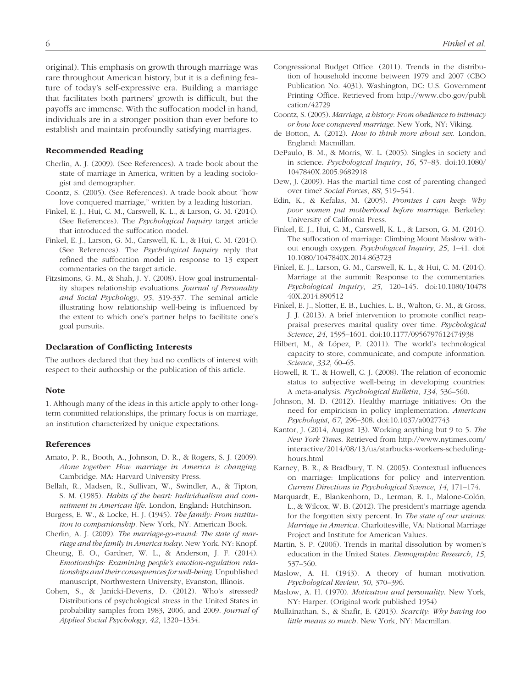original). This emphasis on growth through marriage was rare throughout American history, but it is a defining feature of today's self-expressive era. Building a marriage that facilitates both partners' growth is difficult, but the payoffs are immense. With the suffocation model in hand, individuals are in a stronger position than ever before to establish and maintain profoundly satisfying marriages.

#### Recommended Reading

- Cherlin, A. J. (2009). (See References). A trade book about the state of marriage in America, written by a leading sociologist and demographer.
- Coontz, S. (2005). (See References). A trade book about "how love conquered marriage," written by a leading historian.
- Finkel, E. J., Hui, C. M., Carswell, K. L., & Larson, G. M. (2014). (See References). The Psychological Inquiry target article that introduced the suffocation model.
- Finkel, E. J., Larson, G. M., Carswell, K. L., & Hui, C. M. (2014). (See References). The Psychological Inquiry reply that refined the suffocation model in response to 13 expert commentaries on the target article.
- Fitzsimons, G. M., & Shah, J. Y. (2008). How goal instrumentality shapes relationship evaluations. Journal of Personality and Social Psychology, 95, 319-337. The seminal article illustrating how relationship well-being is influenced by the extent to which one's partner helps to facilitate one's goal pursuits.

#### Declaration of Conflicting Interests

The authors declared that they had no conflicts of interest with respect to their authorship or the publication of this article.

#### **Note**

1. Although many of the ideas in this article apply to other longterm committed relationships, the primary focus is on marriage, an institution characterized by unique expectations.

#### References

- Amato, P. R., Booth, A., Johnson, D. R., & Rogers, S. J. (2009). Alone together: How marriage in America is changing. Cambridge, MA: Harvard University Press.
- Bellah, R., Madsen, R., Sullivan, W., Swindler, A., & Tipton, S. M. (1985). Habits of the heart: Individualism and commitment in American life. London, England: Hutchinson.
- Burgess, E. W., & Locke, H. J. (1945). The family: From institution to companionship. New York, NY: American Book.
- Cherlin, A. J. (2009). The marriage-go-round: The state of marriage and the family in America today. New York, NY: Knopf.
- Cheung, E. O., Gardner, W. L., & Anderson, J. F. (2014). Emotionships: Examining people's emotion-regulation relationships and their consequences for well-being. Unpublished manuscript, Northwestern University, Evanston, Illinois.
- Cohen, S., & Janicki-Deverts, D. (2012). Who's stressed? Distributions of psychological stress in the United States in probability samples from 1983, 2006, and 2009. Journal of Applied Social Psychology, 42, 1320–1334.
- Congressional Budget Office. (2011). Trends in the distribution of household income between 1979 and 2007 (CBO Publication No. 4031). Washington, DC: U.S. Government Printing Office. Retrieved from http://www.cbo.gov/publi cation/42729
- Coontz, S. (2005). Marriage, a history: From obedience to intimacy or how love conquered marriage. New York, NY: Viking.
- de Botton, A. (2012). How to think more about sex. London, England: Macmillan.
- DePaulo, B. M., & Morris, W. L. (2005). Singles in society and in science. Psychological Inquiry, 16, 57–83. doi:10.1080/ 1047840X.2005.9682918
- Dew, J. (2009). Has the martial time cost of parenting changed over time? Social Forces, 88, 519–541.
- Edin, K., & Kefalas, M. (2005). Promises I can keep: Why poor women put motherhood before marriage. Berkeley: University of California Press.
- Finkel, E. J., Hui, C. M., Carswell, K. L., & Larson, G. M. (2014). The suffocation of marriage: Climbing Mount Maslow without enough oxygen. Psychological Inquiry, 25, 1–41. doi: 10.1080/1047840X.2014.863723
- Finkel, E. J., Larson, G. M., Carswell, K. L., & Hui, C. M. (2014). Marriage at the summit: Response to the commentaries. Psychological Inquiry, 25, 120–145. doi:10.1080/10478 40X.2014.890512
- Finkel, E. J., Slotter, E. B., Luchies, L. B., Walton, G. M., & Gross, J. J. (2013). A brief intervention to promote conflict reappraisal preserves marital quality over time. Psychological Science, 24, 1595–1601. doi:10.1177/0956797612474938
- Hilbert, M., & López, P. (2011). The world's technological capacity to store, communicate, and compute information. Science, 332, 60–65.
- Howell, R. T., & Howell, C. J. (2008). The relation of economic status to subjective well-being in developing countries: A meta-analysis. Psychological Bulletin, 134, 536–560.
- Johnson, M. D. (2012). Healthy marriage initiatives: On the need for empiricism in policy implementation. American Psychologist, 67, 296–308. doi:10.1037/a0027743
- Kantor, J. (2014, August 13). Working anything but 9 to 5. The New York Times. Retrieved from http://www.nytimes.com/ interactive/2014/08/13/us/starbucks-workers-schedulinghours.html
- Karney, B. R., & Bradbury, T. N. (2005). Contextual influences on marriage: Implications for policy and intervention. Current Directions in Psychological Science, 14, 171–174.
- Marquardt, E., Blankenhorn, D., Lerman, R. I., Malone-Colón, L., & Wilcox, W. B. (2012). The president's marriage agenda for the forgotten sixty percent. In The state of our unions: Marriage in America. Charlottesville, VA: National Marriage Project and Institute for American Values.
- Martin, S. P. (2006). Trends in marital dissolution by women's education in the United States. Demographic Research, 15, 537–560.
- Maslow, A. H. (1943). A theory of human motivation. Psychological Review, 50, 370–396.
- Maslow, A. H. (1970). Motivation and personality. New York, NY: Harper. (Original work published 1954)
- Mullainathan, S., & Shafir, E. (2013). Scarcity: Why having too little means so much. New York, NY: Macmillan.